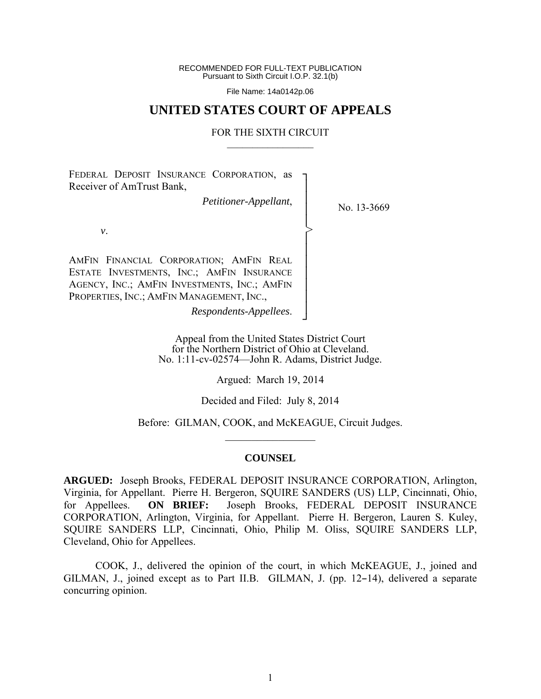RECOMMENDED FOR FULL-TEXT PUBLICATION Pursuant to Sixth Circuit I.O.P. 32.1(b)

File Name: 14a0142p.06

## **UNITED STATES COURT OF APPEALS**

#### FOR THE SIXTH CIRCUIT  $\mathcal{L}_\text{max}$

┐ │ │ │ │ │ │ │ │ │ │ │ ┘

>

FEDERAL DEPOSIT INSURANCE CORPORATION, as Receiver of AmTrust Bank,

*Petitioner-Appellant*,

No. 13-3669

*v*.

AMFIN FINANCIAL CORPORATION; AMFIN REAL ESTATE INVESTMENTS, INC.; AMFIN INSURANCE AGENCY, INC.; AMFIN INVESTMENTS, INC.; AMFIN PROPERTIES, INC.; AMFIN MANAGEMENT, INC.,

*Respondents-Appellees*.

Appeal from the United States District Court for the Northern District of Ohio at Cleveland. No. 1:11-cv-02574—John R. Adams, District Judge.

Argued: March 19, 2014

Decided and Filed: July 8, 2014

Before: GILMAN, COOK, and McKEAGUE, Circuit Judges.  $\frac{1}{2}$ 

#### **COUNSEL**

**ARGUED:** Joseph Brooks, FEDERAL DEPOSIT INSURANCE CORPORATION, Arlington, Virginia, for Appellant. Pierre H. Bergeron, SQUIRE SANDERS (US) LLP, Cincinnati, Ohio, for Appellees. **ON BRIEF:** Joseph Brooks, FEDERAL DEPOSIT INSURANCE CORPORATION, Arlington, Virginia, for Appellant. Pierre H. Bergeron, Lauren S. Kuley, SQUIRE SANDERS LLP, Cincinnati, Ohio, Philip M. Oliss, SQUIRE SANDERS LLP, Cleveland, Ohio for Appellees.

 COOK, J., delivered the opinion of the court, in which McKEAGUE, J., joined and GILMAN, J., joined except as to Part II.B. GILMAN, J. (pp.  $12-14$ ), delivered a separate concurring opinion.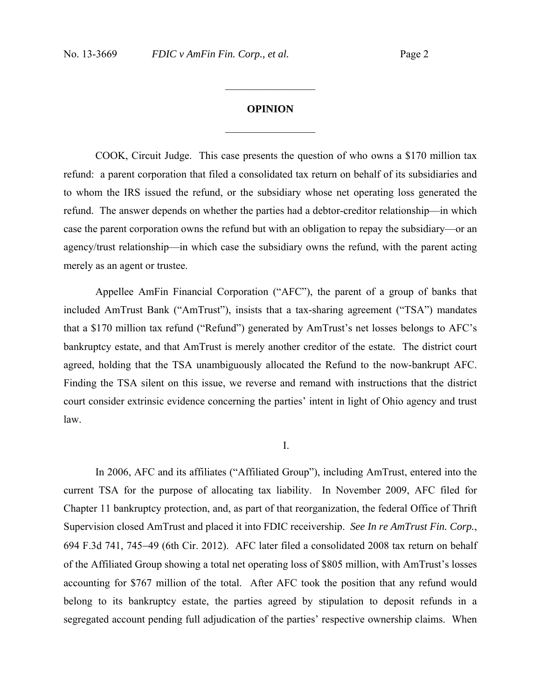# **OPINION**  $\frac{1}{2}$

 $\frac{1}{2}$ 

COOK, Circuit Judge. This case presents the question of who owns a \$170 million tax refund: a parent corporation that filed a consolidated tax return on behalf of its subsidiaries and to whom the IRS issued the refund, or the subsidiary whose net operating loss generated the refund. The answer depends on whether the parties had a debtor-creditor relationship—in which case the parent corporation owns the refund but with an obligation to repay the subsidiary—or an agency/trust relationship—in which case the subsidiary owns the refund, with the parent acting merely as an agent or trustee.

Appellee AmFin Financial Corporation ("AFC"), the parent of a group of banks that included AmTrust Bank ("AmTrust"), insists that a tax-sharing agreement ("TSA") mandates that a \$170 million tax refund ("Refund") generated by AmTrust's net losses belongs to AFC's bankruptcy estate, and that AmTrust is merely another creditor of the estate. The district court agreed, holding that the TSA unambiguously allocated the Refund to the now-bankrupt AFC. Finding the TSA silent on this issue, we reverse and remand with instructions that the district court consider extrinsic evidence concerning the parties' intent in light of Ohio agency and trust law.

I.

In 2006, AFC and its affiliates ("Affiliated Group"), including AmTrust, entered into the current TSA for the purpose of allocating tax liability. In November 2009, AFC filed for Chapter 11 bankruptcy protection, and, as part of that reorganization, the federal Office of Thrift Supervision closed AmTrust and placed it into FDIC receivership. *See In re AmTrust Fin. Corp.*, 694 F.3d 741, 745–49 (6th Cir. 2012). AFC later filed a consolidated 2008 tax return on behalf of the Affiliated Group showing a total net operating loss of \$805 million, with AmTrust's losses accounting for \$767 million of the total. After AFC took the position that any refund would belong to its bankruptcy estate, the parties agreed by stipulation to deposit refunds in a segregated account pending full adjudication of the parties' respective ownership claims. When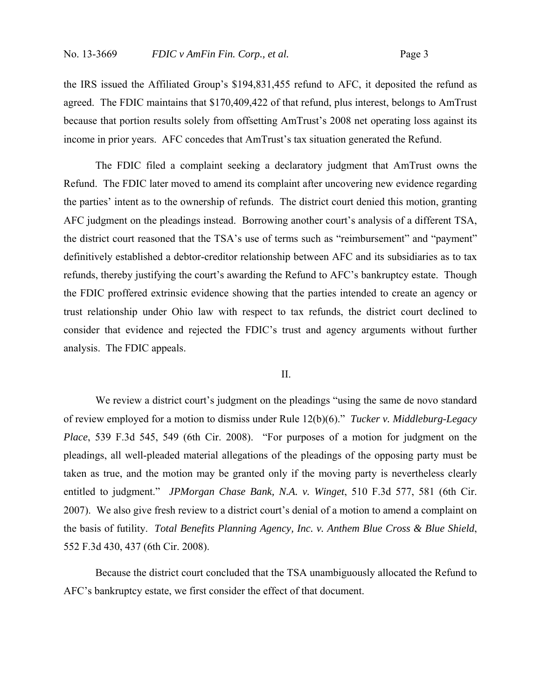the IRS issued the Affiliated Group's \$194,831,455 refund to AFC, it deposited the refund as agreed. The FDIC maintains that \$170,409,422 of that refund, plus interest, belongs to AmTrust because that portion results solely from offsetting AmTrust's 2008 net operating loss against its income in prior years. AFC concedes that AmTrust's tax situation generated the Refund.

The FDIC filed a complaint seeking a declaratory judgment that AmTrust owns the Refund. The FDIC later moved to amend its complaint after uncovering new evidence regarding the parties' intent as to the ownership of refunds. The district court denied this motion, granting AFC judgment on the pleadings instead. Borrowing another court's analysis of a different TSA, the district court reasoned that the TSA's use of terms such as "reimbursement" and "payment" definitively established a debtor-creditor relationship between AFC and its subsidiaries as to tax refunds, thereby justifying the court's awarding the Refund to AFC's bankruptcy estate. Though the FDIC proffered extrinsic evidence showing that the parties intended to create an agency or trust relationship under Ohio law with respect to tax refunds, the district court declined to consider that evidence and rejected the FDIC's trust and agency arguments without further analysis. The FDIC appeals.

## II.

We review a district court's judgment on the pleadings "using the same de novo standard of review employed for a motion to dismiss under Rule 12(b)(6)." *Tucker v. Middleburg-Legacy Place*, 539 F.3d 545, 549 (6th Cir. 2008). "For purposes of a motion for judgment on the pleadings, all well-pleaded material allegations of the pleadings of the opposing party must be taken as true, and the motion may be granted only if the moving party is nevertheless clearly entitled to judgment." *JPMorgan Chase Bank, N.A. v. Winget*, 510 F.3d 577, 581 (6th Cir. 2007). We also give fresh review to a district court's denial of a motion to amend a complaint on the basis of futility. *Total Benefits Planning Agency, Inc. v. Anthem Blue Cross & Blue Shield*, 552 F.3d 430, 437 (6th Cir. 2008).

Because the district court concluded that the TSA unambiguously allocated the Refund to AFC's bankruptcy estate, we first consider the effect of that document.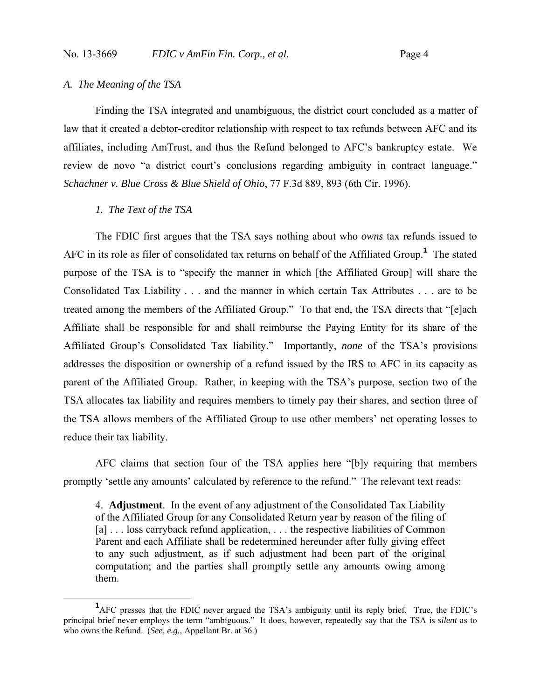## *A. The Meaning of the TSA*

Finding the TSA integrated and unambiguous, the district court concluded as a matter of law that it created a debtor-creditor relationship with respect to tax refunds between AFC and its affiliates, including AmTrust, and thus the Refund belonged to AFC's bankruptcy estate. We review de novo "a district court's conclusions regarding ambiguity in contract language." *Schachner v. Blue Cross & Blue Shield of Ohio*, 77 F.3d 889, 893 (6th Cir. 1996).

#### *1. The Text of the TSA*

The FDIC first argues that the TSA says nothing about who *owns* tax refunds issued to AFC in its role as filer of consolidated tax returns on behalf of the Affiliated Group.**<sup>1</sup>** The stated purpose of the TSA is to "specify the manner in which [the Affiliated Group] will share the Consolidated Tax Liability . . . and the manner in which certain Tax Attributes . . . are to be treated among the members of the Affiliated Group." To that end, the TSA directs that "[e]ach Affiliate shall be responsible for and shall reimburse the Paying Entity for its share of the Affiliated Group's Consolidated Tax liability." Importantly, *none* of the TSA's provisions addresses the disposition or ownership of a refund issued by the IRS to AFC in its capacity as parent of the Affiliated Group. Rather, in keeping with the TSA's purpose, section two of the TSA allocates tax liability and requires members to timely pay their shares, and section three of the TSA allows members of the Affiliated Group to use other members' net operating losses to reduce their tax liability.

AFC claims that section four of the TSA applies here "[b]y requiring that members promptly 'settle any amounts' calculated by reference to the refund." The relevant text reads:

4. **Adjustment**. In the event of any adjustment of the Consolidated Tax Liability of the Affiliated Group for any Consolidated Return year by reason of the filing of [a] . . . loss carryback refund application, . . . the respective liabilities of Common Parent and each Affiliate shall be redetermined hereunder after fully giving effect to any such adjustment, as if such adjustment had been part of the original computation; and the parties shall promptly settle any amounts owing among them.

 $\frac{1}{1}$ AFC presses that the FDIC never argued the TSA's ambiguity until its reply brief. True, the FDIC's principal brief never employs the term "ambiguous." It does, however, repeatedly say that the TSA is *silent* as to who owns the Refund. (*See, e.g.*, Appellant Br. at 36.)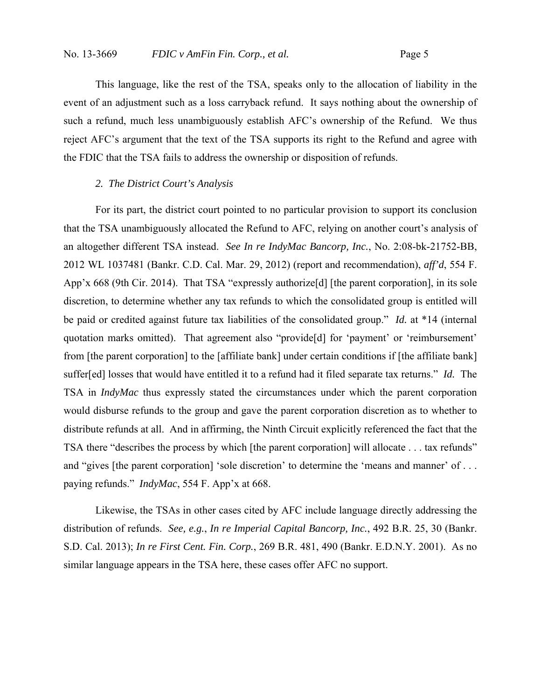This language, like the rest of the TSA, speaks only to the allocation of liability in the event of an adjustment such as a loss carryback refund. It says nothing about the ownership of such a refund, much less unambiguously establish AFC's ownership of the Refund. We thus reject AFC's argument that the text of the TSA supports its right to the Refund and agree with the FDIC that the TSA fails to address the ownership or disposition of refunds.

### *2. The District Court's Analysis*

For its part, the district court pointed to no particular provision to support its conclusion that the TSA unambiguously allocated the Refund to AFC, relying on another court's analysis of an altogether different TSA instead. *See In re IndyMac Bancorp, Inc.*, No. 2:08-bk-21752-BB, 2012 WL 1037481 (Bankr. C.D. Cal. Mar. 29, 2012) (report and recommendation), *aff'd*, 554 F. App'x 668 (9th Cir. 2014). That TSA "expressly authorize[d] [the parent corporation], in its sole discretion, to determine whether any tax refunds to which the consolidated group is entitled will be paid or credited against future tax liabilities of the consolidated group." *Id.* at \*14 (internal quotation marks omitted). That agreement also "provide[d] for 'payment' or 'reimbursement' from [the parent corporation] to the [affiliate bank] under certain conditions if [the affiliate bank] suffer[ed] losses that would have entitled it to a refund had it filed separate tax returns." *Id.* The TSA in *IndyMac* thus expressly stated the circumstances under which the parent corporation would disburse refunds to the group and gave the parent corporation discretion as to whether to distribute refunds at all. And in affirming, the Ninth Circuit explicitly referenced the fact that the TSA there "describes the process by which [the parent corporation] will allocate . . . tax refunds" and "gives [the parent corporation] 'sole discretion' to determine the 'means and manner' of ... paying refunds." *IndyMac*, 554 F. App'x at 668.

Likewise, the TSAs in other cases cited by AFC include language directly addressing the distribution of refunds. *See, e.g.*, *In re Imperial Capital Bancorp, Inc.*, 492 B.R. 25, 30 (Bankr. S.D. Cal. 2013); *In re First Cent. Fin. Corp.*, 269 B.R. 481, 490 (Bankr. E.D.N.Y. 2001). As no similar language appears in the TSA here, these cases offer AFC no support.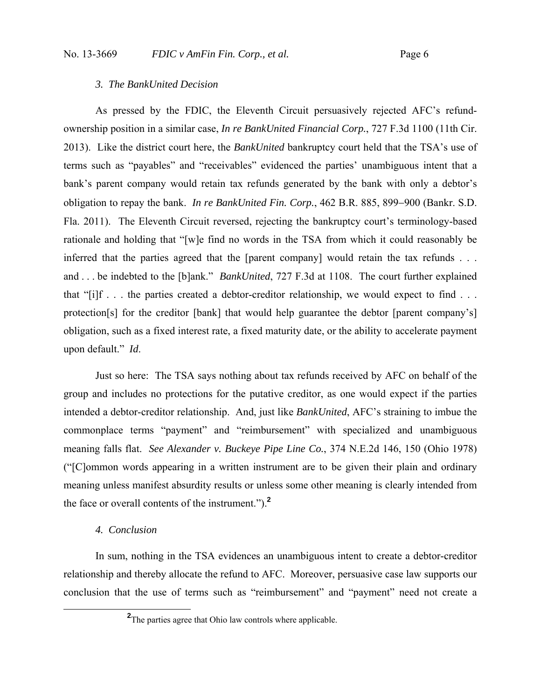### *3. The BankUnited Decision*

As pressed by the FDIC, the Eleventh Circuit persuasively rejected AFC's refundownership position in a similar case, *In re BankUnited Financial Corp.*, 727 F.3d 1100 (11th Cir. 2013). Like the district court here, the *BankUnited* bankruptcy court held that the TSA's use of terms such as "payables" and "receivables" evidenced the parties' unambiguous intent that a bank's parent company would retain tax refunds generated by the bank with only a debtor's obligation to repay the bank. *In re BankUnited Fin. Corp.*, 462 B.R. 885, 899–900 (Bankr. S.D. Fla. 2011). The Eleventh Circuit reversed, rejecting the bankruptcy court's terminology-based rationale and holding that "[w]e find no words in the TSA from which it could reasonably be inferred that the parties agreed that the [parent company] would retain the tax refunds . . . and . . . be indebted to the [b]ank." *BankUnited*, 727 F.3d at 1108. The court further explained that "[i]f . . . the parties created a debtor-creditor relationship, we would expect to find . . . protection[s] for the creditor [bank] that would help guarantee the debtor [parent company's] obligation, such as a fixed interest rate, a fixed maturity date, or the ability to accelerate payment upon default." *Id*.

Just so here: The TSA says nothing about tax refunds received by AFC on behalf of the group and includes no protections for the putative creditor, as one would expect if the parties intended a debtor-creditor relationship. And, just like *BankUnited*, AFC's straining to imbue the commonplace terms "payment" and "reimbursement" with specialized and unambiguous meaning falls flat. *See Alexander v. Buckeye Pipe Line Co.*, 374 N.E.2d 146, 150 (Ohio 1978) ("[C]ommon words appearing in a written instrument are to be given their plain and ordinary meaning unless manifest absurdity results or unless some other meaning is clearly intended from the face or overall contents of the instrument.").**<sup>2</sup>**

#### *4. Conclusion*

In sum, nothing in the TSA evidences an unambiguous intent to create a debtor-creditor relationship and thereby allocate the refund to AFC. Moreover, persuasive case law supports our conclusion that the use of terms such as "reimbursement" and "payment" need not create a

**<sup>2</sup>** <sup>2</sup>The parties agree that Ohio law controls where applicable.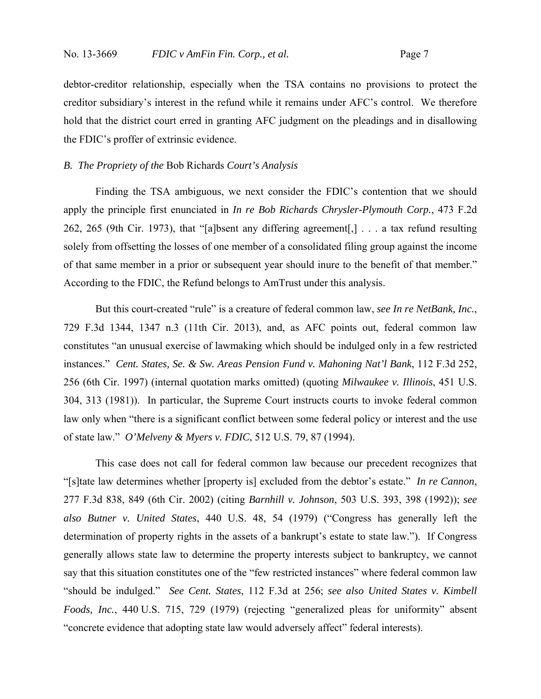debtor-creditor relationship, especially when the TSA contains no provisions to protect the creditor subsidiary's interest in the refund while it remains under AFC's control. We therefore hold that the district court erred in granting AFC judgment on the pleadings and in disallowing the FDIC's proffer of extrinsic evidence.

### *B. The Propriety of the* Bob Richards *Court's Analysis*

Finding the TSA ambiguous, we next consider the FDIC's contention that we should apply the principle first enunciated in *In re Bob Richards Chrysler-Plymouth Corp.*, 473 F.2d 262, 265 (9th Cir. 1973), that "[a]bsent any differing agreement[,] . . . a tax refund resulting solely from offsetting the losses of one member of a consolidated filing group against the income of that same member in a prior or subsequent year should inure to the benefit of that member." According to the FDIC, the Refund belongs to AmTrust under this analysis.

But this court-created "rule" is a creature of federal common law, *see In re NetBank, Inc.*, 729 F.3d 1344, 1347 n.3 (11th Cir. 2013), and, as AFC points out, federal common law constitutes "an unusual exercise of lawmaking which should be indulged only in a few restricted instances." *Cent. States, Se. & Sw. Areas Pension Fund v. Mahoning Nat'l Bank*, 112 F.3d 252, 256 (6th Cir. 1997) (internal quotation marks omitted) (quoting *Milwaukee v. Illinois*, 451 U.S. 304, 313 (1981)). In particular, the Supreme Court instructs courts to invoke federal common law only when "there is a significant conflict between some federal policy or interest and the use of state law." *O'Melveny & Myers v. FDIC*, 512 U.S. 79, 87 (1994).

This case does not call for federal common law because our precedent recognizes that "[s]tate law determines whether [property is] excluded from the debtor's estate." *In re Cannon*, 277 F.3d 838, 849 (6th Cir. 2002) (citing *Barnhill v. Johnson*, 503 U.S. 393, 398 (1992)); *see also Butner v. United States*, 440 U.S. 48, 54 (1979) ("Congress has generally left the determination of property rights in the assets of a bankrupt's estate to state law."). If Congress generally allows state law to determine the property interests subject to bankruptcy, we cannot say that this situation constitutes one of the "few restricted instances" where federal common law "should be indulged." *See Cent. States*, 112 F.3d at 256; *see also United States v. Kimbell Foods, Inc.*, 440 U.S. 715, 729 (1979) (rejecting "generalized pleas for uniformity" absent "concrete evidence that adopting state law would adversely affect" federal interests).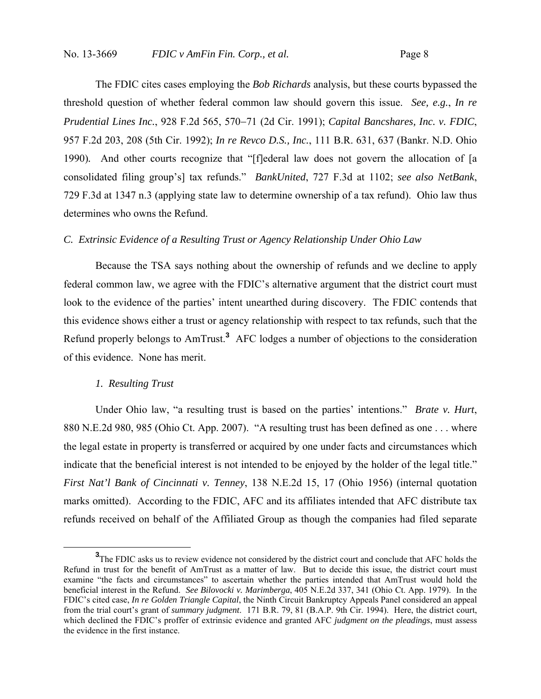The FDIC cites cases employing the *Bob Richards* analysis, but these courts bypassed the threshold question of whether federal common law should govern this issue. *See, e.g.*, *In re Prudential Lines Inc.*, 928 F.2d 565, 57071 (2d Cir. 1991); *Capital Bancshares, Inc. v. FDIC*, 957 F.2d 203, 208 (5th Cir. 1992); *In re Revco D.S., Inc.*, 111 B.R. 631, 637 (Bankr. N.D. Ohio 1990)*.* And other courts recognize that "[f]ederal law does not govern the allocation of [a consolidated filing group's] tax refunds." *BankUnited*, 727 F.3d at 1102; *see also NetBank*, 729 F.3d at 1347 n.3 (applying state law to determine ownership of a tax refund). Ohio law thus determines who owns the Refund.

#### *C. Extrinsic Evidence of a Resulting Trust or Agency Relationship Under Ohio Law*

Because the TSA says nothing about the ownership of refunds and we decline to apply federal common law, we agree with the FDIC's alternative argument that the district court must look to the evidence of the parties' intent unearthed during discovery. The FDIC contends that this evidence shows either a trust or agency relationship with respect to tax refunds, such that the Refund properly belongs to AmTrust.**<sup>3</sup>** AFC lodges a number of objections to the consideration of this evidence. None has merit.

## *1. Resulting Trust*

Under Ohio law, "a resulting trust is based on the parties' intentions." *Brate v. Hurt*, 880 N.E.2d 980, 985 (Ohio Ct. App. 2007). "A resulting trust has been defined as one . . . where the legal estate in property is transferred or acquired by one under facts and circumstances which indicate that the beneficial interest is not intended to be enjoyed by the holder of the legal title." *First Nat'l Bank of Cincinnati v. Tenney*, 138 N.E.2d 15, 17 (Ohio 1956) (internal quotation marks omitted). According to the FDIC, AFC and its affiliates intended that AFC distribute tax refunds received on behalf of the Affiliated Group as though the companies had filed separate

**<sup>3</sup>** <sup>3</sup>The FDIC asks us to review evidence not considered by the district court and conclude that AFC holds the Refund in trust for the benefit of AmTrust as a matter of law. But to decide this issue, the district court must examine "the facts and circumstances" to ascertain whether the parties intended that AmTrust would hold the beneficial interest in the Refund. *See Bilovocki v. Marimberga*, 405 N.E.2d 337, 341 (Ohio Ct. App. 1979). In the FDIC's cited case, *In re Golden Triangle Capital*, the Ninth Circuit Bankruptcy Appeals Panel considered an appeal from the trial court's grant of *summary judgment*. 171 B.R. 79, 81 (B.A.P. 9th Cir. 1994). Here, the district court, which declined the FDIC's proffer of extrinsic evidence and granted AFC *judgment on the pleadings*, must assess the evidence in the first instance.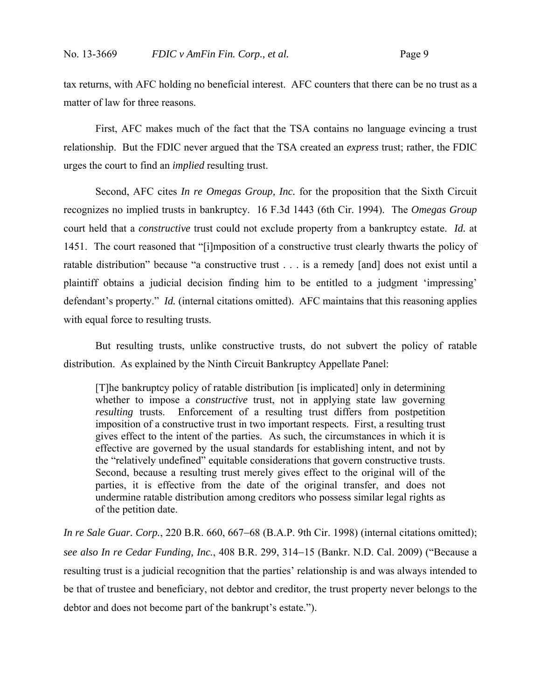tax returns, with AFC holding no beneficial interest. AFC counters that there can be no trust as a matter of law for three reasons.

First, AFC makes much of the fact that the TSA contains no language evincing a trust relationship. But the FDIC never argued that the TSA created an *express* trust; rather, the FDIC urges the court to find an *implied* resulting trust.

Second, AFC cites *In re Omegas Group, Inc.* for the proposition that the Sixth Circuit recognizes no implied trusts in bankruptcy. 16 F.3d 1443 (6th Cir. 1994). The *Omegas Group* court held that a *constructive* trust could not exclude property from a bankruptcy estate. *Id.* at 1451. The court reasoned that "[i]mposition of a constructive trust clearly thwarts the policy of ratable distribution" because "a constructive trust . . . is a remedy [and] does not exist until a plaintiff obtains a judicial decision finding him to be entitled to a judgment 'impressing' defendant's property." *Id.* (internal citations omitted). AFC maintains that this reasoning applies with equal force to resulting trusts.

But resulting trusts, unlike constructive trusts, do not subvert the policy of ratable distribution. As explained by the Ninth Circuit Bankruptcy Appellate Panel:

[T]he bankruptcy policy of ratable distribution [is implicated] only in determining whether to impose a *constructive* trust, not in applying state law governing *resulting* trusts. Enforcement of a resulting trust differs from postpetition imposition of a constructive trust in two important respects. First, a resulting trust gives effect to the intent of the parties. As such, the circumstances in which it is effective are governed by the usual standards for establishing intent, and not by the "relatively undefined" equitable considerations that govern constructive trusts. Second, because a resulting trust merely gives effect to the original will of the parties, it is effective from the date of the original transfer, and does not undermine ratable distribution among creditors who possess similar legal rights as of the petition date.

*In re Sale Guar. Corp.*, 220 B.R. 660, 667–68 (B.A.P. 9th Cir. 1998) (internal citations omitted); *see also In re Cedar Funding, Inc.,* 408 B.R. 299, 314–15 (Bankr. N.D. Cal. 2009) ("Because a resulting trust is a judicial recognition that the parties' relationship is and was always intended to be that of trustee and beneficiary, not debtor and creditor, the trust property never belongs to the debtor and does not become part of the bankrupt's estate.").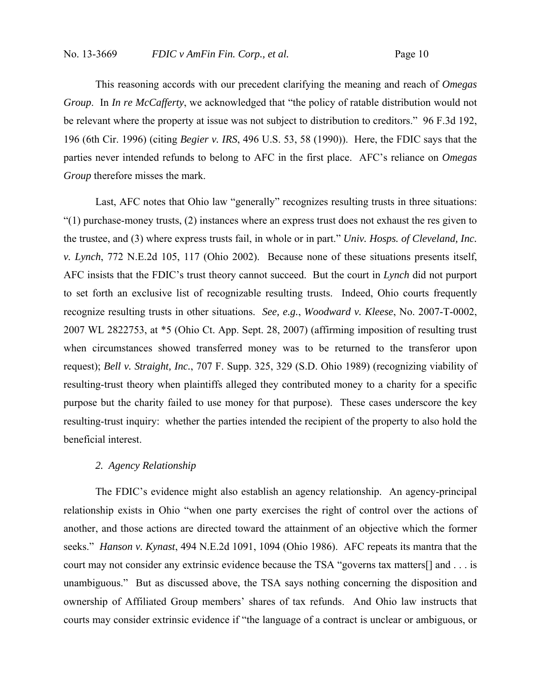This reasoning accords with our precedent clarifying the meaning and reach of *Omegas Group*. In *In re McCafferty*, we acknowledged that "the policy of ratable distribution would not be relevant where the property at issue was not subject to distribution to creditors." 96 F.3d 192, 196 (6th Cir. 1996) (citing *Begier v. IRS*, 496 U.S. 53, 58 (1990)). Here, the FDIC says that the parties never intended refunds to belong to AFC in the first place. AFC's reliance on *Omegas Group* therefore misses the mark.

Last, AFC notes that Ohio law "generally" recognizes resulting trusts in three situations: "(1) purchase-money trusts, (2) instances where an express trust does not exhaust the res given to the trustee, and (3) where express trusts fail, in whole or in part." *Univ. Hosps. of Cleveland, Inc. v. Lynch*, 772 N.E.2d 105, 117 (Ohio 2002). Because none of these situations presents itself, AFC insists that the FDIC's trust theory cannot succeed. But the court in *Lynch* did not purport to set forth an exclusive list of recognizable resulting trusts. Indeed, Ohio courts frequently recognize resulting trusts in other situations. *See, e.g.*, *Woodward v. Kleese*, No. 2007-T-0002, 2007 WL 2822753, at \*5 (Ohio Ct. App. Sept. 28, 2007) (affirming imposition of resulting trust when circumstances showed transferred money was to be returned to the transferor upon request); *Bell v. Straight, Inc.*, 707 F. Supp. 325, 329 (S.D. Ohio 1989) (recognizing viability of resulting-trust theory when plaintiffs alleged they contributed money to a charity for a specific purpose but the charity failed to use money for that purpose). These cases underscore the key resulting-trust inquiry: whether the parties intended the recipient of the property to also hold the beneficial interest.

## *2. Agency Relationship*

The FDIC's evidence might also establish an agency relationship. An agency-principal relationship exists in Ohio "when one party exercises the right of control over the actions of another, and those actions are directed toward the attainment of an objective which the former seeks." *Hanson v. Kynast*, 494 N.E.2d 1091, 1094 (Ohio 1986). AFC repeats its mantra that the court may not consider any extrinsic evidence because the TSA "governs tax matters[] and . . . is unambiguous." But as discussed above, the TSA says nothing concerning the disposition and ownership of Affiliated Group members' shares of tax refunds. And Ohio law instructs that courts may consider extrinsic evidence if "the language of a contract is unclear or ambiguous, or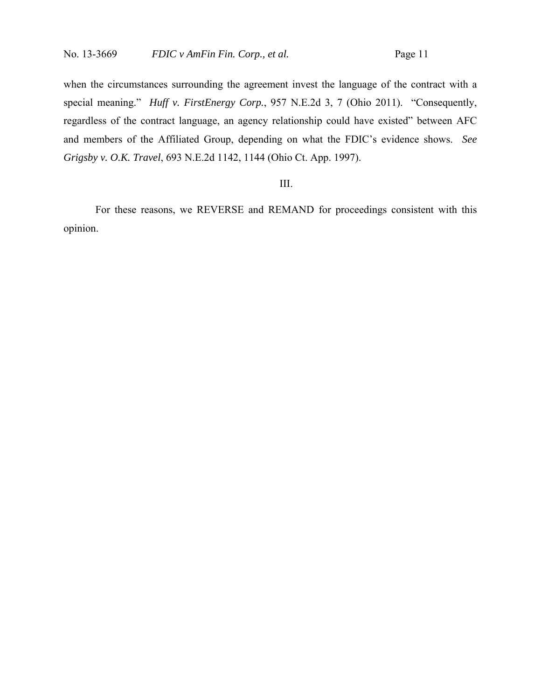when the circumstances surrounding the agreement invest the language of the contract with a special meaning." *Huff v. FirstEnergy Corp.*, 957 N.E.2d 3, 7 (Ohio 2011). "Consequently, regardless of the contract language, an agency relationship could have existed" between AFC and members of the Affiliated Group, depending on what the FDIC's evidence shows. *See Grigsby v. O.K. Travel*, 693 N.E.2d 1142, 1144 (Ohio Ct. App. 1997).

### III.

For these reasons, we REVERSE and REMAND for proceedings consistent with this opinion.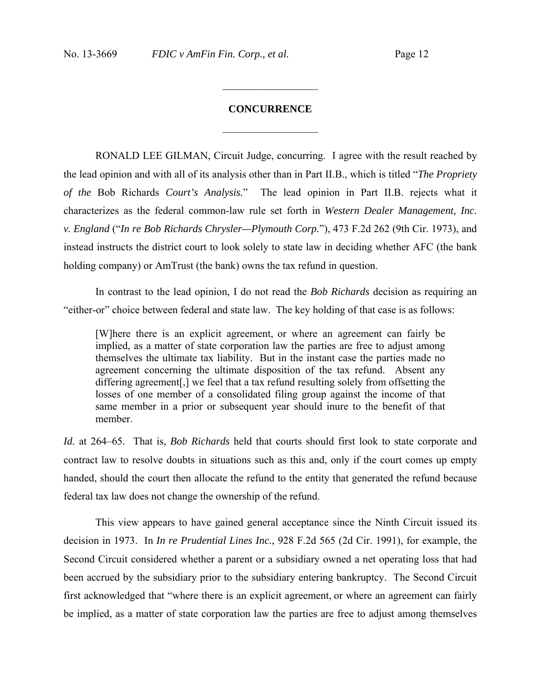# **CONCURRENCE**  $\mathcal{L}_\text{max}$  , we are the set of the set of the set of the set of the set of the set of the set of the set of the set of the set of the set of the set of the set of the set of the set of the set of the set of the set of

 $\mathcal{L}_\text{max}$  , we are the set of the set of the set of the set of the set of the set of the set of the set of the set of the set of the set of the set of the set of the set of the set of the set of the set of the set of

RONALD LEE GILMAN, Circuit Judge, concurring. I agree with the result reached by the lead opinion and with all of its analysis other than in Part II.B., which is titled "*The Propriety of the* Bob Richards *Court's Analysis.*" The lead opinion in Part II.B. rejects what it characterizes as the federal common-law rule set forth in *Western Dealer Management, Inc. v. England* ("*In re Bob Richards Chrysler—Plymouth Corp.*"), 473 F.2d 262 (9th Cir. 1973), and instead instructs the district court to look solely to state law in deciding whether AFC (the bank holding company) or AmTrust (the bank) owns the tax refund in question.

In contrast to the lead opinion, I do not read the *Bob Richards* decision as requiring an "either-or" choice between federal and state law. The key holding of that case is as follows:

[W]here there is an explicit agreement, or where an agreement can fairly be implied, as a matter of state corporation law the parties are free to adjust among themselves the ultimate tax liability. But in the instant case the parties made no agreement concerning the ultimate disposition of the tax refund. Absent any differing agreement[,] we feel that a tax refund resulting solely from offsetting the losses of one member of a consolidated filing group against the income of that same member in a prior or subsequent year should inure to the benefit of that member.

*Id.* at 264–65. That is, *Bob Richards* held that courts should first look to state corporate and contract law to resolve doubts in situations such as this and, only if the court comes up empty handed, should the court then allocate the refund to the entity that generated the refund because federal tax law does not change the ownership of the refund.

This view appears to have gained general acceptance since the Ninth Circuit issued its decision in 1973. In *In re Prudential Lines Inc.*, 928 F.2d 565 (2d Cir. 1991), for example, the Second Circuit considered whether a parent or a subsidiary owned a net operating loss that had been accrued by the subsidiary prior to the subsidiary entering bankruptcy. The Second Circuit first acknowledged that "where there is an explicit agreement, or where an agreement can fairly be implied, as a matter of state corporation law the parties are free to adjust among themselves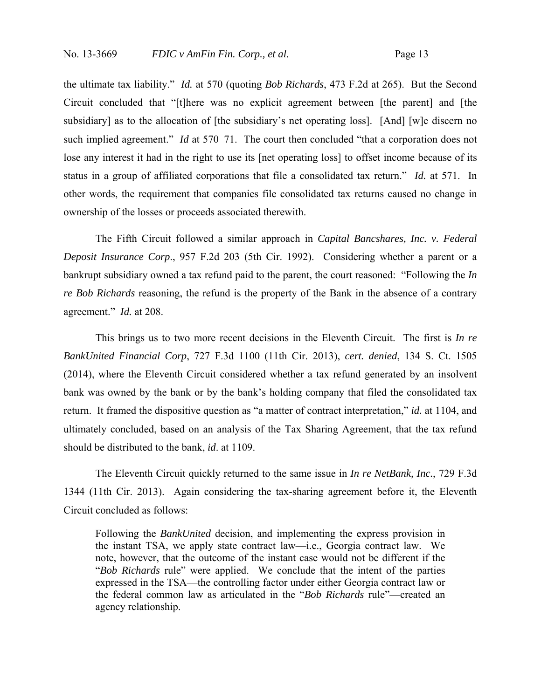the ultimate tax liability." *Id.* at 570 (quoting *Bob Richards*, 473 F.2d at 265). But the Second Circuit concluded that "[t]here was no explicit agreement between [the parent] and [the subsidiary] as to the allocation of [the subsidiary's net operating loss]. [And] [w]e discern no such implied agreement." *Id* at 570–71. The court then concluded "that a corporation does not lose any interest it had in the right to use its [net operating loss] to offset income because of its status in a group of affiliated corporations that file a consolidated tax return." *Id.* at 571. In other words, the requirement that companies file consolidated tax returns caused no change in ownership of the losses or proceeds associated therewith.

The Fifth Circuit followed a similar approach in *Capital Bancshares, Inc. v. Federal Deposit Insurance Corp*., 957 F.2d 203 (5th Cir. 1992). Considering whether a parent or a bankrupt subsidiary owned a tax refund paid to the parent, the court reasoned: "Following the *In re Bob Richards* reasoning, the refund is the property of the Bank in the absence of a contrary agreement." *Id.* at 208.

This brings us to two more recent decisions in the Eleventh Circuit. The first is *In re BankUnited Financial Corp*, 727 F.3d 1100 (11th Cir. 2013), *cert. denied*, 134 S. Ct. 1505 (2014), where the Eleventh Circuit considered whether a tax refund generated by an insolvent bank was owned by the bank or by the bank's holding company that filed the consolidated tax return. It framed the dispositive question as "a matter of contract interpretation," *id.* at 1104, and ultimately concluded, based on an analysis of the Tax Sharing Agreement, that the tax refund should be distributed to the bank, *id*. at 1109.

The Eleventh Circuit quickly returned to the same issue in *In re NetBank, Inc.*, 729 F.3d 1344 (11th Cir. 2013). Again considering the tax-sharing agreement before it, the Eleventh Circuit concluded as follows:

Following the *BankUnited* decision, and implementing the express provision in the instant TSA, we apply state contract law—i.e., Georgia contract law. We note, however, that the outcome of the instant case would not be different if the "*Bob Richards* rule" were applied. We conclude that the intent of the parties expressed in the TSA—the controlling factor under either Georgia contract law or the federal common law as articulated in the "*Bob Richards* rule"—created an agency relationship.